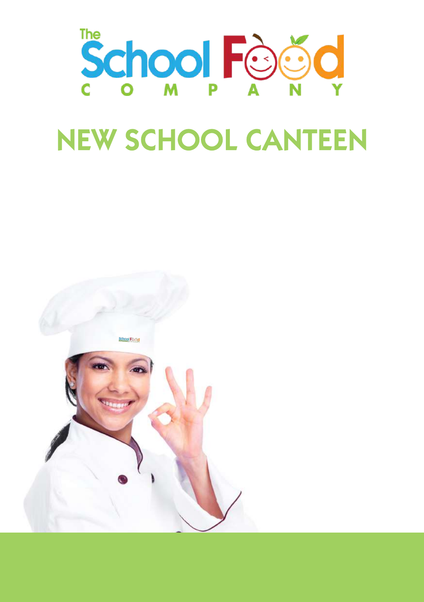

# NEW SCHOOL CANTEEN

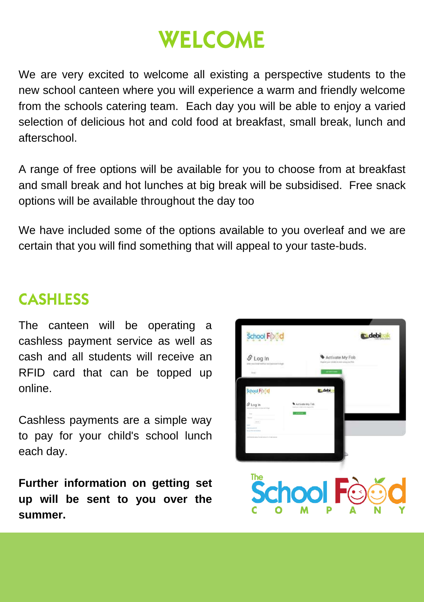## **WELCOME**

We are very excited to welcome all existing a perspective students to the new school canteen where you will experience a warm and friendly welcome from the schools catering team. Each day you will be able to enjoy a varied selection of delicious hot and cold food at breakfast, small break, lunch and afterschool.

A range of free options will be available for you to choose from at breakfast and small break and hot lunches at big break will be subsidised. Free snack options will be available throughout the day too

We have included some of the options available to you overleaf and we are certain that you will find something that will appeal to your taste-buds.

## CASHLESS

The canteen will be operating a cashless payment service as well as cash and all students will receive an RFID card that can be topped up online.

Cashless payments are a simple way to pay for your child's school lunch each day.

**Further information on getting set up will be sent to you over the summer.**

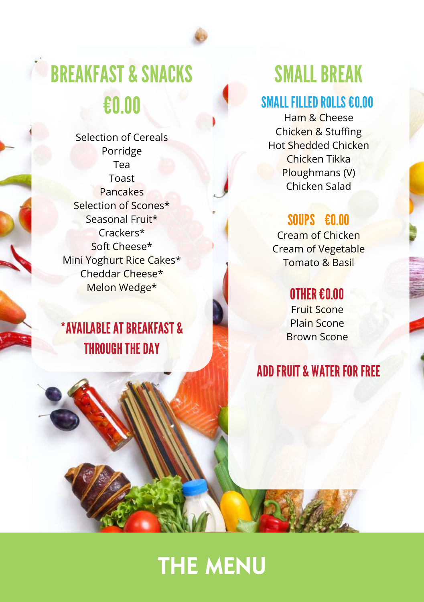

# BREAKFAST & SNACKS €0.00

Selection of Cereals Porridge Tea Toast Pancakes Selection of Scones\* Seasonal Fruit\* Crackers\* Soft Cheese\* Mini Yoghurt Rice Cakes\* Cheddar Cheese\* Melon Wedge\*

## \*AVAILABLEATBREAKFAST & **THROUGH THE DAY**

## **SMALL BREAK**

#### SMALL FILLED ROLLS €0.00

Ham & Cheese Chicken & Stuffing Hot Shedded Chicken Chicken Tikka Ploughmans (V) Chicken Salad

## SOUPS €0.00

Cream of Chicken Cream of Vegetable Tomato & Basil

#### OTHER€0.00

Fruit Scone Plain Scone Brown Scone

## **ADD FRUIT & WATER FOR FREE**

## THE MENU